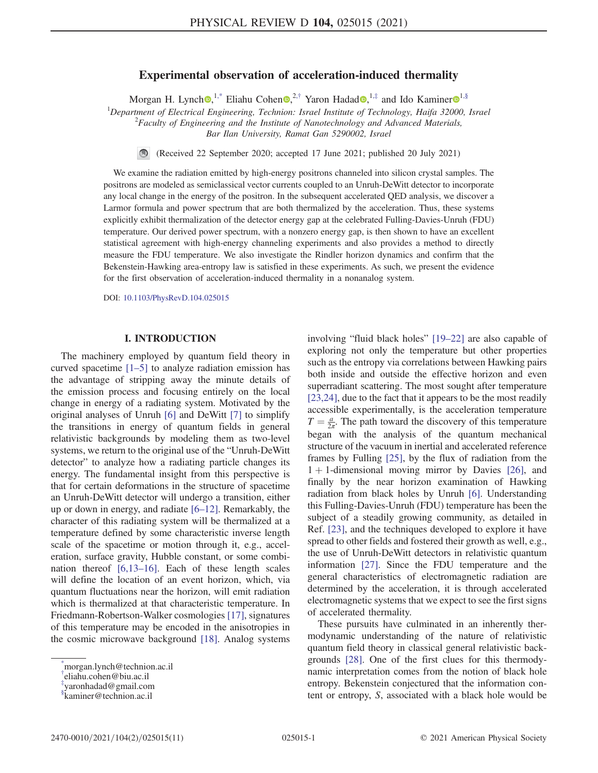# Experimental observation of acceleration-induced thermality

Morgan H. Lynch  $\mathbb{Q}^{1,*}$  $\mathbb{Q}^{1,*}$  $\mathbb{Q}^{1,*}$  Eliahu Cohen  $\mathbb{Q}^{2,*}$  Yaron Hadad  $\mathbb{Q}^{1,*}$  $\mathbb{Q}^{1,*}$  $\mathbb{Q}^{1,*}$  and Ido Kaminer  $\mathbb{Q}^{1,*}$ 

<span id="page-0-4"></span><sup>1</sup>Department of Electrical Engineering, Technion: Israel Institute of Technology, Haifa 32000, Israel  $\frac{2F_{Goul}}{r}$  or Fraeineering and the Institute of Nanotechnology and Advanced Materials  $^{2}$ Faculty of Engineering and the Institute of Nanotechnology and Advanced Materials,

Bar Ilan University, Ramat Gan 5290002, Israel

 $\bigcirc$ (Received 22 September 2020; accepted 17 June 2021; published 20 July 2021)

We examine the radiation emitted by high-energy positrons channeled into silicon crystal samples. The positrons are modeled as semiclassical vector currents coupled to an Unruh-DeWitt detector to incorporate any local change in the energy of the positron. In the subsequent accelerated QED analysis, we discover a Larmor formula and power spectrum that are both thermalized by the acceleration. Thus, these systems explicitly exhibit thermalization of the detector energy gap at the celebrated Fulling-Davies-Unruh (FDU) temperature. Our derived power spectrum, with a nonzero energy gap, is then shown to have an excellent statistical agreement with high-energy channeling experiments and also provides a method to directly measure the FDU temperature. We also investigate the Rindler horizon dynamics and confirm that the Bekenstein-Hawking area-entropy law is satisfied in these experiments. As such, we present the evidence for the first observation of acceleration-induced thermality in a nonanalog system.

DOI: [10.1103/PhysRevD.104.025015](https://doi.org/10.1103/PhysRevD.104.025015)

#### I. INTRODUCTION

The machinery employed by quantum field theory in curved spacetime [\[1](#page-9-0)–5] to analyze radiation emission has the advantage of stripping away the minute details of the emission process and focusing entirely on the local change in energy of a radiating system. Motivated by the original analyses of Unruh [\[6\]](#page-9-1) and DeWitt [\[7\]](#page-9-2) to simplify the transitions in energy of quantum fields in general relativistic backgrounds by modeling them as two-level systems, we return to the original use of the "Unruh-DeWitt detector" to analyze how a radiating particle changes its energy. The fundamental insight from this perspective is that for certain deformations in the structure of spacetime an Unruh-DeWitt detector will undergo a transition, either up or down in energy, and radiate [6–[12\]](#page-9-1). Remarkably, the character of this radiating system will be thermalized at a temperature defined by some characteristic inverse length scale of the spacetime or motion through it, e.g., acceleration, surface gravity, Hubble constant, or some combination thereof [\[6,13](#page-9-1)–16]. Each of these length scales will define the location of an event horizon, which, via quantum fluctuations near the horizon, will emit radiation which is thermalized at that characteristic temperature. In Friedmann-Robertson-Walker cosmologies [\[17\]](#page-9-3), signatures of this temperature may be encoded in the anisotropies in the cosmic microwave background [\[18\].](#page-9-4) Analog systems involving "fluid black holes" [19–[22\]](#page-9-5) are also capable of exploring not only the temperature but other properties such as the entropy via correlations between Hawking pairs both inside and outside the effective horizon and even superradiant scattering. The most sought after temperature [\[23,24\]](#page-9-6), due to the fact that it appears to be the most readily accessible experimentally, is the acceleration temperature  $T = \frac{a}{2\pi}$ . The path toward the discovery of this temperature began with the analysis of the quantum mechanical structure of the vacuum in inertial and accelerated reference frames by Fulling [\[25\]](#page-9-7), by the flux of radiation from the  $1 + 1$ -dimensional moving mirror by Davies [\[26\]](#page-9-8), and finally by the near horizon examination of Hawking radiation from black holes by Unruh [\[6\].](#page-9-1) Understanding this Fulling-Davies-Unruh (FDU) temperature has been the subject of a steadily growing community, as detailed in Ref. [\[23\]](#page-9-6), and the techniques developed to explore it have spread to other fields and fostered their growth as well, e.g., the use of Unruh-DeWitt detectors in relativistic quantum information [\[27\]](#page-9-9). Since the FDU temperature and the general characteristics of electromagnetic radiation are determined by the acceleration, it is through accelerated electromagnetic systems that we expect to see the first signs of accelerated thermality.

These pursuits have culminated in an inherently thermodynamic understanding of the nature of relativistic quantum field theory in classical general relativistic backgrounds [\[28\].](#page-9-10) One of the first clues for this thermodynamic interpretation comes from the notion of black hole entropy. Bekenstein conjectured that the information content or entropy, S, associated with a black hole would be

<span id="page-0-0"></span>[<sup>\\*</sup>](#page-0-4) morgan.lynch@technion.ac.il

<span id="page-0-1"></span>[<sup>†</sup>](#page-0-4) eliahu.cohen@biu.ac.il

<span id="page-0-2"></span>[<sup>‡</sup>](#page-0-4) yaronhadad@gmail.com

<span id="page-0-3"></span>[<sup>§</sup>](#page-0-4) kaminer@technion.ac.il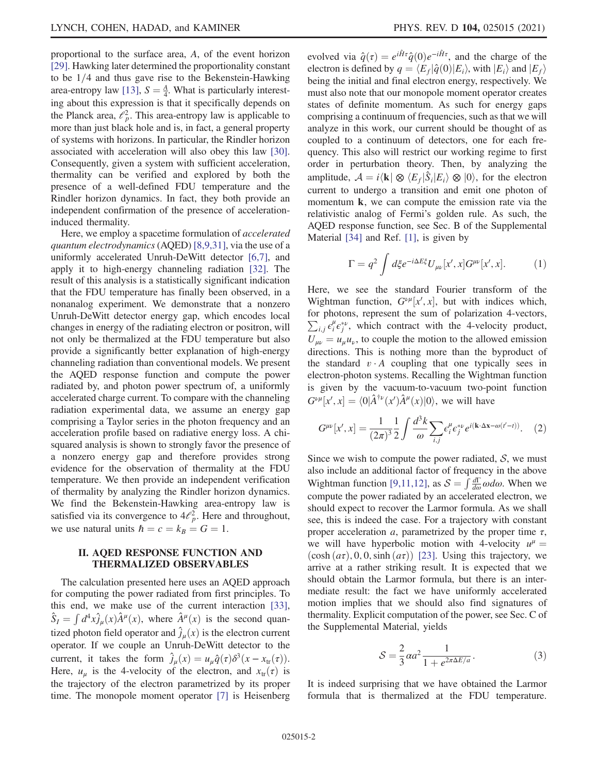proportional to the surface area, A, of the event horizon [\[29\]](#page-9-11). Hawking later determined the proportionality constant to be  $1/4$  and thus gave rise to the Bekenstein-Hawking area-entropy law [\[13\]](#page-9-12),  $S = \frac{A}{4}$ . What is particularly interesting about this expression is that it specifically depends on the Planck area,  $\ell_p^2$ . This area-entropy law is applicable to more than just black hole and is, in fact, a general property of systems with horizons. In particular, the Rindler horizon associated with acceleration will also obey this law [\[30\]](#page-9-13). Consequently, given a system with sufficient acceleration, thermality can be verified and explored by both the presence of a well-defined FDU temperature and the Rindler horizon dynamics. In fact, they both provide an independent confirmation of the presence of accelerationinduced thermality.

Here, we employ a spacetime formulation of accelerated quantum electrodynamics (AQED) [\[8,9,31\]](#page-9-14), via the use of a uniformly accelerated Unruh-DeWitt detector [\[6,7\]](#page-9-1), and apply it to high-energy channeling radiation [\[32\].](#page-9-15) The result of this analysis is a statistically significant indication that the FDU temperature has finally been observed, in a nonanalog experiment. We demonstrate that a nonzero Unruh-DeWitt detector energy gap, which encodes local changes in energy of the radiating electron or positron, will not only be thermalized at the FDU temperature but also provide a significantly better explanation of high-energy channeling radiation than conventional models. We present the AQED response function and compute the power radiated by, and photon power spectrum of, a uniformly accelerated charge current. To compare with the channeling radiation experimental data, we assume an energy gap comprising a Taylor series in the photon frequency and an acceleration profile based on radiative energy loss. A chisquared analysis is shown to strongly favor the presence of a nonzero energy gap and therefore provides strong evidence for the observation of thermality at the FDU temperature. We then provide an independent verification of thermality by analyzing the Rindler horizon dynamics. We find the Bekenstein-Hawking area-entropy law is satisfied via its convergence to  $4\ell_p^2$ . Here and throughout, we use natural units  $\hbar = c = k_B = G = 1$ .

## II. AQED RESPONSE FUNCTION AND THERMALIZED OBSERVABLES

The calculation presented here uses an AQED approach for computing the power radiated from first principles. To this end, we make use of the current interaction [\[33\]](#page-9-16),  $\hat{S}_I = \int d^4x \hat{j}_\mu(x) \hat{A}^\mu(x)$ , where  $\hat{A}^\mu(x)$  is the second quantized photon field operator and  $\hat{j}_{\mu}(x)$  is the electron current operator. If we couple an Unruh-DeWitt detector to the current, it takes the form  $\hat{j}_{\mu}(x) = u_{\mu} \hat{q}(\tau) \delta^{3}(x - x_{tr}(\tau)).$ Here,  $u_u$  is the 4-velocity of the electron, and  $x_{tr}(\tau)$  is the trajectory of the electron parametrized by its proper time. The monopole moment operator [\[7\]](#page-9-2) is Heisenberg

evolved via  $\hat{q}(\tau) = e^{i\hat{H}\tau} \hat{q}(0) e^{-i\hat{H}\tau}$ , and the charge of the electron is defined by  $q = \langle E_f | \hat{q}(0) | E_i \rangle$ , with  $|E_i \rangle$  and  $|E_f \rangle$ being the initial and final electron energy, respectively. We must also note that our monopole moment operator creates states of definite momentum. As such for energy gaps comprising a continuum of frequencies, such as that we will analyze in this work, our current should be thought of as coupled to a continuum of detectors, one for each frequency. This also will restrict our working regime to first order in perturbation theory. Then, by analyzing the amplitude,  $\mathcal{A} = i \langle \mathbf{k} | \otimes \langle E_f | \hat{S}_i | E_i \rangle \otimes | 0 \rangle$ , for the electron current to undergo a transition and emit one photon of momentum  $k$ , we can compute the emission rate via the relativistic analog of Fermi's golden rule. As such, the AQED response function, see Sec. B of the Supplemental Material [\[34\]](#page-9-17) and Ref. [\[1\],](#page-9-0) is given by

$$
\Gamma = q^2 \int d\xi e^{-i\Delta E\xi} U_{\mu\nu}[x', x] G^{\mu\nu}[x', x]. \tag{1}
$$

Here, we see the standard Fourier transform of the Wightman function,  $G^{\nu\mu}[x', x]$ , but with indices which, for photons, represent the sum of polarization 4-vectors,  $\sum_{i,i} \epsilon_i^{\mu} \epsilon_i^{\nu}$ , which contract with the 4-velocity product,  $U_{\mu\nu} = u_{\mu}u_{\nu}$ , to couple the motion to the allowed emission directions. This is nothing more than the byproduct of the standard  $v \cdot A$  coupling that one typically sees in electron-photon systems. Recalling the Wightman function is given by the vacuum-to-vacuum two-point function  $G^{\nu\mu}[x',x] = \langle 0 | \hat{A}^{\dagger \nu}(x') \hat{A}^{\mu}(x) | 0 \rangle$ , we will have

$$
G^{\mu\nu}[x',x] = \frac{1}{(2\pi)^3} \frac{1}{2} \int \frac{d^3k}{\omega} \sum_{i,j} \epsilon_i^{\mu} \epsilon_j^{*\nu} e^{i(\mathbf{k}\cdot\Delta\mathbf{x}-\omega(t'-t))}.
$$
 (2)

Since we wish to compute the power radiated,  $S$ , we must also include an additional factor of frequency in the above Wightman function [\[9,11,12\]](#page-9-18), as  $S = \int \frac{d\Gamma}{d\omega} \omega d\omega$ . When we compute the power radiated by an accelerated electron, we should expect to recover the Larmor formula. As we shall see, this is indeed the case. For a trajectory with constant proper acceleration a, parametrized by the proper time  $\tau$ , we will have hyperbolic motion with 4-velocity  $u^{\mu} =$  $(\cosh(a\tau), 0, 0, \sinh(a\tau))$  [\[23\].](#page-9-6) Using this trajectory, we arrive at a rather striking result. It is expected that we should obtain the Larmor formula, but there is an intermediate result: the fact we have uniformly accelerated motion implies that we should also find signatures of thermality. Explicit computation of the power, see Sec. C of the Supplemental Material, yields

$$
S = \frac{2}{3}\alpha a^2 \frac{1}{1 + e^{2\pi \Delta E/a}}.\tag{3}
$$

It is indeed surprising that we have obtained the Larmor formula that is thermalized at the FDU temperature.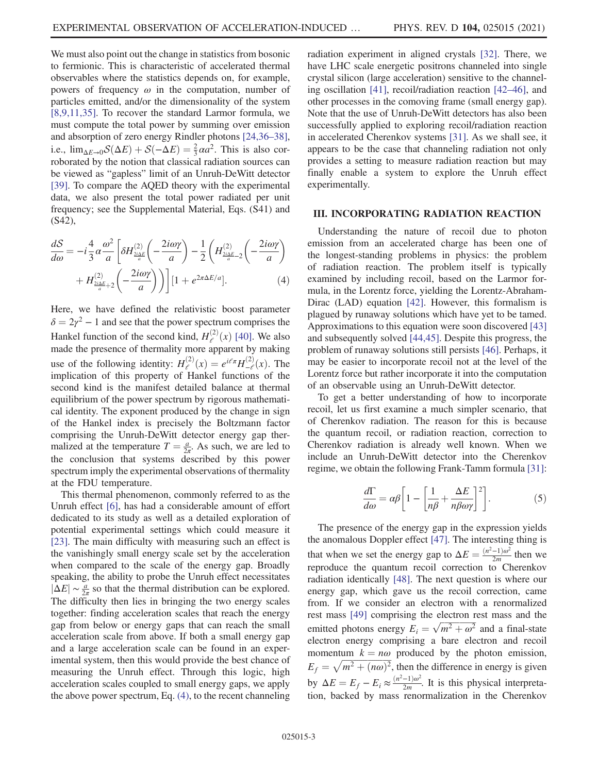We must also point out the change in statistics from bosonic to fermionic. This is characteristic of accelerated thermal observables where the statistics depends on, for example, powers of frequency  $\omega$  in the computation, number of particles emitted, and/or the dimensionality of the system [\[8,9,11,35\]](#page-9-14). To recover the standard Larmor formula, we must compute the total power by summing over emission and absorption of zero energy Rindler photons [\[24,36](#page-9-19)–38], i.e.,  $\lim_{\Delta E \to 0} S(\Delta E) + S(-\Delta E) = \frac{2}{3} \alpha a^2$ . This is also corroborated by the notion that classical radiation sources can be viewed as "gapless" limit of an Unruh-DeWitt detector [\[39\]](#page-9-20). To compare the AQED theory with the experimental data, we also present the total power radiated per unit frequency; see the Supplemental Material, Eqs. (S41) and (S42),

<span id="page-2-0"></span>
$$
\frac{dS}{d\omega} = -i\frac{4}{3}\alpha \frac{\omega^2}{a} \left[ \delta H_{\frac{2i\Delta E}{a}}^{(2)} \left( -\frac{2i\omega \gamma}{a} \right) - \frac{1}{2} \left( H_{\frac{2i\Delta E}{a} - 2}^{(2)} \left( -\frac{2i\omega \gamma}{a} \right) + H_{\frac{2i\Delta E}{a} + 2}^{(2)} \left( -\frac{2i\omega \gamma}{a} \right) \right) \right] \left[ 1 + e^{2\pi \Delta E/a} \right].
$$
\n(4)

Here, we have defined the relativistic boost parameter  $\delta = 2\gamma^2 - 1$  and see that the power spectrum comprises the Hankel function of the second kind,  $H^{(2)}_{\ell}(x)$  [\[40\]](#page-9-21). We also made the presence of thermality more apparent by making use of the following identity:  $H^{(2)}_{\ell}(x) = e^{i\ell\pi}H^{(2)}_{-\ell}(x)$ . The implication of this property of Hankel functions of the second kind is the manifest detailed balance at thermal equilibrium of the power spectrum by rigorous mathematical identity. The exponent produced by the change in sign of the Hankel index is precisely the Boltzmann factor comprising the Unruh-DeWitt detector energy gap thermalized at the temperature  $T = \frac{a}{2\pi}$ . As such, we are led to the conclusion that systems described by this power spectrum imply the experimental observations of thermality at the FDU temperature.

This thermal phenomenon, commonly referred to as the Unruh effect [\[6\],](#page-9-1) has had a considerable amount of effort dedicated to its study as well as a detailed exploration of potential experimental settings which could measure it [\[23\]](#page-9-6). The main difficulty with measuring such an effect is the vanishingly small energy scale set by the acceleration when compared to the scale of the energy gap. Broadly speaking, the ability to probe the Unruh effect necessitates  $|\Delta E| \sim \frac{a}{2\pi}$  so that the thermal distribution can be explored. The difficulty then lies in bringing the two energy scales together: finding acceleration scales that reach the energy gap from below or energy gaps that can reach the small acceleration scale from above. If both a small energy gap and a large acceleration scale can be found in an experimental system, then this would provide the best chance of measuring the Unruh effect. Through this logic, high acceleration scales coupled to small energy gaps, we apply the above power spectrum, Eq. [\(4\),](#page-2-0) to the recent channeling radiation experiment in aligned crystals [\[32\]](#page-9-15). There, we have LHC scale energetic positrons channeled into single crystal silicon (large acceleration) sensitive to the channeling oscillation [\[41\],](#page-9-22) recoil/radiation reaction [42–[46\],](#page-9-23) and other processes in the comoving frame (small energy gap). Note that the use of Unruh-DeWitt detectors has also been successfully applied to exploring recoil/radiation reaction in accelerated Cherenkov systems [\[31\]](#page-9-24). As we shall see, it appears to be the case that channeling radiation not only provides a setting to measure radiation reaction but may finally enable a system to explore the Unruh effect experimentally.

#### III. INCORPORATING RADIATION REACTION

Understanding the nature of recoil due to photon emission from an accelerated charge has been one of the longest-standing problems in physics: the problem of radiation reaction. The problem itself is typically examined by including recoil, based on the Larmor formula, in the Lorentz force, yielding the Lorentz-Abraham-Dirac (LAD) equation [\[42\].](#page-9-23) However, this formalism is plagued by runaway solutions which have yet to be tamed. Approximations to this equation were soon discovered [\[43\]](#page-9-25) and subsequently solved [\[44,45\].](#page-9-26) Despite this progress, the problem of runaway solutions still persists [\[46\].](#page-10-0) Perhaps, it may be easier to incorporate recoil not at the level of the Lorentz force but rather incorporate it into the computation of an observable using an Unruh-DeWitt detector.

To get a better understanding of how to incorporate recoil, let us first examine a much simpler scenario, that of Cherenkov radiation. The reason for this is because the quantum recoil, or radiation reaction, correction to Cherenkov radiation is already well known. When we include an Unruh-DeWitt detector into the Cherenkov regime, we obtain the following Frank-Tamm formula [\[31\]](#page-9-24):

$$
\frac{d\Gamma}{d\omega} = \alpha \beta \left[ 1 - \left[ \frac{1}{n\beta} + \frac{\Delta E}{n\beta \omega \gamma} \right]^2 \right].
$$
 (5)

The presence of the energy gap in the expression yields the anomalous Doppler effect [\[47\]](#page-10-1). The interesting thing is that when we set the energy gap to  $\Delta E = \frac{(n^2 - 1)\omega^2}{2m}$  then we reproduce the quantum recoil correction to Cherenkov radiation identically [\[48\]](#page-10-2). The next question is where our energy gap, which gave us the recoil correction, came from. If we consider an electron with a renormalized rest mass [\[49\]](#page-10-3) comprising the electron rest mass and the emitted photons energy  $E_i = \sqrt{m^2 + \omega^2}$  and a final-state electron energy comprising a bare electron and recoil momentum  $k = n\omega$  produced by the photon emission,  $E_f = \sqrt{m^2 + (n\omega)^2}$ , then the difference in energy is given by  $\Delta E = E_f - E_i \approx \frac{(n^2 - 1)\omega^2}{2m}$ . It is this physical interpretation, backed by mass renormalization in the Cherenkov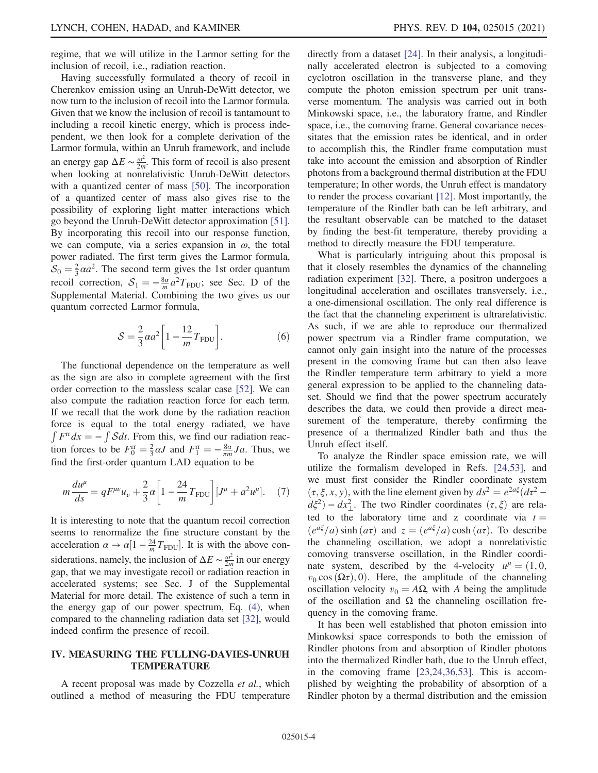regime, that we will utilize in the Larmor setting for the inclusion of recoil, i.e., radiation reaction.

Having successfully formulated a theory of recoil in Cherenkov emission using an Unruh-DeWitt detector, we now turn to the inclusion of recoil into the Larmor formula. Given that we know the inclusion of recoil is tantamount to including a recoil kinetic energy, which is process independent, we then look for a complete derivation of the Larmor formula, within an Unruh framework, and include an energy gap  $\Delta E \sim \frac{\omega^2}{2m}$ . This form of recoil is also present when looking at nonrelativistic Unruh-DeWitt detectors with a quantized center of mass [\[50\].](#page-10-4) The incorporation of a quantized center of mass also gives rise to the possibility of exploring light matter interactions which go beyond the Unruh-DeWitt detector approximation [\[51\]](#page-10-5). By incorporating this recoil into our response function, we can compute, via a series expansion in  $\omega$ , the total power radiated. The first term gives the Larmor formula,  $S_0 = \frac{2}{3} \alpha a^2$ . The second term gives the 1st order quantum recoil correction,  $S_1 = -\frac{8a}{m} a^2 T_{\text{FDU}}$ ; see Sec. D of the Supplemental Material. Combining the two gives us our quantum corrected Larmor formula,

$$
S = \frac{2}{3}\alpha a^2 \left[ 1 - \frac{12}{m} T_{\text{FDU}} \right].
$$
 (6)

The functional dependence on the temperature as well as the sign are also in complete agreement with the first order correction to the massless scalar case [\[52\].](#page-10-6) We can also compute the radiation reaction force for each term. If we recall that the work done by the radiation reaction force is equal to the total energy radiated, we have  $\int F^{\text{tr}} dx = -\int \mathcal{S} dt$ . From this, we find our radiation reaction forces to be  $F_0^{\text{tr}} = \frac{2}{3} \alpha J$  and  $F_1^{\text{tr}} = -\frac{8\alpha}{\pi m} J a$ . Thus, we find the first-order quantum LAD equation to be

$$
m\frac{du^{\mu}}{ds} = qF^{\mu\nu}u_{\nu} + \frac{2}{3}\alpha \left[1 - \frac{24}{m}T_{\text{FDU}}\right][J^{\mu} + a^2u^{\mu}].
$$
 (7)

It is interesting to note that the quantum recoil correction seems to renormalize the fine structure constant by the acceleration  $\alpha \to \alpha [1 - \frac{24}{m} T_{\text{FDU}}]$ . It is with the above considerations, namely, the inclusion of  $\Delta E \sim \frac{\omega^2}{2m}$  in our energy gap, that we may investigate recoil or radiation reaction in accelerated systems; see Sec. J of the Supplemental Material for more detail. The existence of such a term in the energy gap of our power spectrum, Eq. [\(4\)](#page-2-0), when compared to the channeling radiation data set [\[32\]](#page-9-15), would indeed confirm the presence of recoil.

## IV. MEASURING THE FULLING-DAVIES-UNRUH TEMPERATURE

A recent proposal was made by Cozzella et al., which outlined a method of measuring the FDU temperature directly from a dataset [\[24\]](#page-9-19). In their analysis, a longitudinally accelerated electron is subjected to a comoving cyclotron oscillation in the transverse plane, and they compute the photon emission spectrum per unit transverse momentum. The analysis was carried out in both Minkowski space, i.e., the laboratory frame, and Rindler space, i.e., the comoving frame. General covariance necessitates that the emission rates be identical, and in order to accomplish this, the Rindler frame computation must take into account the emission and absorption of Rindler photons from a background thermal distribution at the FDU temperature; In other words, the Unruh effect is mandatory to render the process covariant [\[12\].](#page-9-27) Most importantly, the temperature of the Rindler bath can be left arbitrary, and the resultant observable can be matched to the dataset by finding the best-fit temperature, thereby providing a method to directly measure the FDU temperature.

What is particularly intriguing about this proposal is that it closely resembles the dynamics of the channeling radiation experiment [\[32\].](#page-9-15) There, a positron undergoes a longitudinal acceleration and oscillates transversely, i.e., a one-dimensional oscillation. The only real difference is the fact that the channeling experiment is ultrarelativistic. As such, if we are able to reproduce our thermalized power spectrum via a Rindler frame computation, we cannot only gain insight into the nature of the processes present in the comoving frame but can then also leave the Rindler temperature term arbitrary to yield a more general expression to be applied to the channeling dataset. Should we find that the power spectrum accurately describes the data, we could then provide a direct measurement of the temperature, thereby confirming the presence of a thermalized Rindler bath and thus the Unruh effect itself.

To analyze the Rindler space emission rate, we will utilize the formalism developed in Refs. [\[24,53\]](#page-9-19), and we must first consider the Rindler coordinate system  $(\tau, \xi, x, y)$ , with the line element given by  $ds^2 = e^{2a\xi} (d\tau^2$  $d\xi^2$ ) –  $dx_{\perp}^2$ . The two Rindler coordinates  $(\tau, \xi)$  are related to the laboratory time and z coordinate via  $t =$  $(e^{a\xi}/a)$  sinh  $(a\tau)$  and  $z = (e^{a\xi}/a) \cosh(a\tau)$ . To describe the channeling oscillation, we adopt a nonrelativistic comoving transverse oscillation, in the Rindler coordinate system, described by the 4-velocity  $u^{\mu} = (1, 0, 1)$  $v_0 \cos(\Omega \tau)$ , 0). Here, the amplitude of the channeling oscillation velocity  $v_0 = A\Omega$ , with A being the amplitude of the oscillation and  $\Omega$  the channeling oscillation frequency in the comoving frame.

It has been well established that photon emission into Minkowksi space corresponds to both the emission of Rindler photons from and absorption of Rindler photons into the thermalized Rindler bath, due to the Unruh effect, in the comoving frame [\[23,24,36,53\].](#page-9-6) This is accomplished by weighting the probability of absorption of a Rindler photon by a thermal distribution and the emission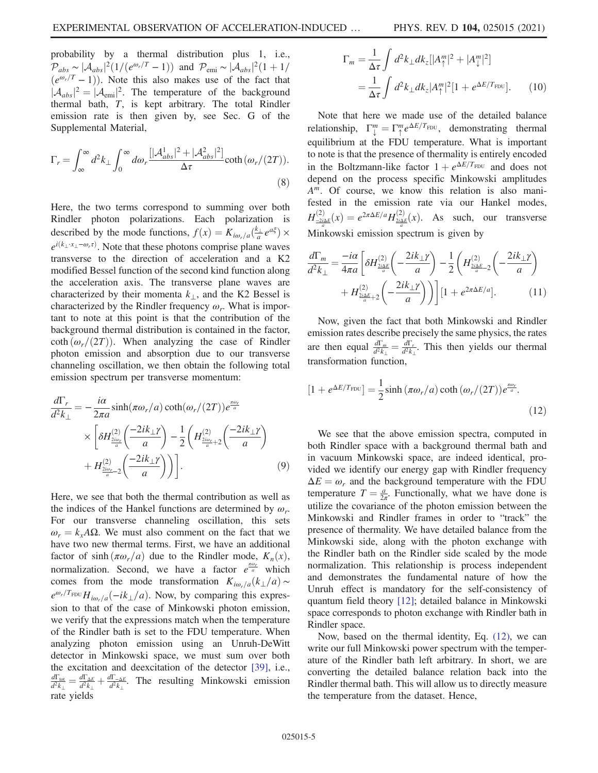probability by a thermal distribution plus 1, i.e.,  $\mathcal{P}_{abs} \sim |\mathcal{A}_{abs}|^2 (1/(e^{\omega_r/T}-1))$  and  $\mathcal{P}_{emi} \sim |\mathcal{A}_{abs}|^2 (1+1/2)$  $(e^{\omega_r/T} - 1)$ ). Note this also makes use of the fact that  $|\mathcal{A}_{abs}|^2 = |\mathcal{A}_{emi}|^2$ . The temperature of the background thermal bath, T, is kept arbitrary. The total Rindler emission rate is then given by, see Sec. G of the Supplemental Material,

$$
\Gamma_r = \int_{\infty}^{\infty} d^2 k_{\perp} \int_0^{\infty} d\omega_r \frac{[|\mathcal{A}_{abs}^1|^2 + |\mathcal{A}_{abs}^2|^2]}{\Delta \tau} \coth\left(\omega_r/(2T)\right).
$$
\n(8)

Here, the two terms correspond to summing over both Rindler photon polarizations. Each polarization is described by the mode functions,  $f(x) = K_{i\omega_r/a}(\frac{k_\perp}{a}e^{a\xi}) \times$  $e^{i(k_\perp \cdot x_\perp - \omega_r \tau)}$ . Note that these photons comprise plane waves transverse to the direction of acceleration and a K2 modified Bessel function of the second kind function along the acceleration axis. The transverse plane waves are characterized by their momenta  $k_{\perp}$ , and the K2 Bessel is characterized by the Rindler frequency  $\omega_r$ . What is important to note at this point is that the contribution of the background thermal distribution is contained in the factor, coth  $(\omega_r/(2T))$ . When analyzing the case of Rindler photon emission and absorption due to our transverse channeling oscillation, we then obtain the following total emission spectrum per transverse momentum:

$$
\frac{d\Gamma_r}{d^2k_{\perp}} = -\frac{i\alpha}{2\pi a} \sinh(\pi\omega_r/a) \coth(\omega_r/(2T)) e^{\frac{\pi\omega_r}{a}}
$$

$$
\times \left[ \delta H_{\frac{2i\omega_r}{a}}^{(2)} \left( \frac{-2ik_{\perp}\gamma}{a} \right) - \frac{1}{2} \left( H_{\frac{2i\omega_r}{a}+2}^{(2)} \left( \frac{-2ik_{\perp}\gamma}{a} \right) + H_{\frac{2i\omega_r}{a}-2}^{(2)} \left( \frac{-2ik_{\perp}\gamma}{a} \right) \right) \right].
$$
(9)

Here, we see that both the thermal contribution as well as the indices of the Hankel functions are determined by  $\omega_r$ . For our transverse channeling oscillation, this sets  $\omega_r = k_r A \Omega$ . We must also comment on the fact that we have two new thermal terms. First, we have an additional factor of sinh  $(\pi \omega_r/a)$  due to the Rindler mode,  $K_n(x)$ , normalization. Second, we have a factor  $e^{\frac{\pi \omega_r}{a}}$  which comes from the mode transformation  $K_{i\omega_r/a}(k_\perp/a) \sim$  $e^{\omega_r/T_{\text{FDU}}}H_{i\omega_r/a}(-ik_\perp/a)$ . Now, by comparing this expression to that of the case of Minkowski photon emission, we verify that the expressions match when the temperature of the Rindler bath is set to the FDU temperature. When analyzing photon emission using an Unruh-DeWitt detector in Minkowski space, we must sum over both the excitation and deexcitation of the detector [\[39\],](#page-9-20) i.e.,  $d\Gamma_{\text{tot}}$  $\frac{d\Gamma_{\text{tot}}}{d^2k_\perp} = \frac{d\Gamma_{\Delta E}}{d^2k_\perp} + \frac{d\Gamma_{\Delta E}}{d^2k_\perp}$ . The resulting Minkowski emission rate yields

$$
\Gamma_m = \frac{1}{\Delta \tau} \int d^2 k_\perp dk_z [|A^m_\uparrow|^2 + |A^m_\downarrow|^2]
$$
  
= 
$$
\frac{1}{\Delta \tau} \int d^2 k_\perp dk_z |A^m_\uparrow|^2 [1 + e^{\Delta E/T_{\text{FDU}}}].
$$
 (10)

Note that here we made use of the detailed balance relationship,  $\Gamma_{\downarrow}^{m} = \Gamma_{\uparrow}^{m} e^{\Delta E/T_{\text{FDU}}}$ , demonstrating thermal equilibrium at the FDU temperature. What is important to note is that the presence of thermality is entirely encoded in the Boltzmann-like factor  $1 + e^{\Delta E/T_{\text{FDU}}}$  and does not depend on the process specific Minkowski amplitudes  $A<sup>m</sup>$ . Of course, we know this relation is also manifested in the emission rate via our Hankel modes,  $H_{\frac{-2i\Delta E}{a}}^{(2)}(x) = e^{2\pi \Delta E/a} H_{\frac{2i\Delta E}{a}}^{(2)}(x)$ . As such, our transverse a Minkowski emission spectrum is given by

$$
\frac{d\Gamma_m}{d^2k_\perp} = \frac{-i\alpha}{4\pi a} \left[ \delta H_{\frac{2i\Delta E}{a}}^{(2)} \left( -\frac{2ik_\perp \gamma}{a} \right) - \frac{1}{2} \left( H_{\frac{2i\Delta E}{a} - 2}^{(2)} \left( -\frac{2ik_\perp \gamma}{a} \right) + H_{\frac{2i\Delta E}{a} + 2}^{(2)} \left( -\frac{2ik_\perp \gamma}{a} \right) \right) \right] \left[ 1 + e^{2\pi \Delta E/a} \right].
$$
\n(11)

<span id="page-4-0"></span>Now, given the fact that both Minkowski and Rindler emission rates describe precisely the same physics, the rates are then equal  $\frac{d\Gamma_m}{d^2k_{\perp}} = \frac{d\Gamma_r}{d^2k_{\perp}}$ . This then yields our thermal transformation function,

$$
[1 + e^{\Delta E/T_{\text{FDU}}}] = \frac{1}{2} \sinh (\pi \omega_r/a) \coth (\omega_r/(2T)) e^{\frac{\pi \omega_r}{a}}.
$$
\n(12)

We see that the above emission spectra, computed in both Rindler space with a background thermal bath and in vacuum Minkowski space, are indeed identical, provided we identify our energy gap with Rindler frequency  $\Delta E = \omega_r$  and the background temperature with the FDU temperature  $T = \frac{a}{2\pi}$ . Functionally, what we have done is utilize the covariance of the photon emission between the Minkowski and Rindler frames in order to "track" the presence of thermality. We have detailed balance from the Minkowski side, along with the photon exchange with the Rindler bath on the Rindler side scaled by the mode normalization. This relationship is process independent and demonstrates the fundamental nature of how the Unruh effect is mandatory for the self-consistency of quantum field theory [\[12\]](#page-9-27); detailed balance in Minkowski space corresponds to photon exchange with Rindler bath in Rindler space.

<span id="page-4-1"></span>Now, based on the thermal identity, Eq. [\(12\)](#page-4-0), we can write our full Minkowski power spectrum with the temperature of the Rindler bath left arbitrary. In short, we are converting the detailed balance relation back into the Rindler thermal bath. This will allow us to directly measure the temperature from the dataset. Hence,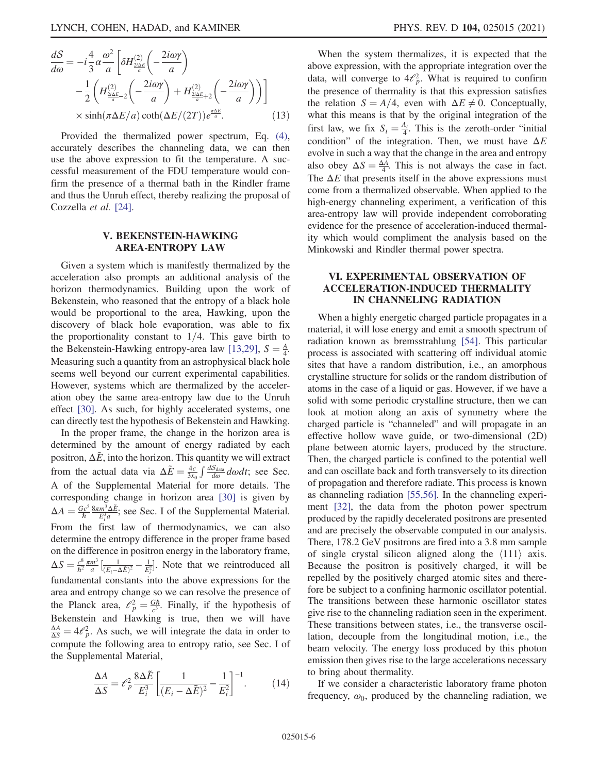$$
\frac{dS}{d\omega} = -i\frac{4}{3}\alpha \frac{\omega^2}{a} \left[ \delta H_{\frac{2i\Delta E}{a}}^{(2)} \left( -\frac{2i\omega\gamma}{a} \right) \right.\n- \frac{1}{2} \left( H_{\frac{2i\Delta E}{a} - 2}^{(2)} \left( -\frac{2i\omega\gamma}{a} \right) + H_{\frac{2i\Delta E}{a} + 2}^{(2)} \left( -\frac{2i\omega\gamma}{a} \right) \right) \right.\n\times \sinh(\pi \Delta E/a) \coth(\Delta E/(2T)) e^{\frac{\pi \Delta E}{a}}.
$$
\n(13)

Provided the thermalized power spectrum, Eq. [\(4\)](#page-2-0), accurately describes the channeling data, we can then use the above expression to fit the temperature. A successful measurement of the FDU temperature would confirm the presence of a thermal bath in the Rindler frame and thus the Unruh effect, thereby realizing the proposal of Cozzella et al. [\[24\].](#page-9-19)

#### V. BEKENSTEIN-HAWKING AREA-ENTROPY LAW

Given a system which is manifestly thermalized by the acceleration also prompts an additional analysis of the horizon thermodynamics. Building upon the work of Bekenstein, who reasoned that the entropy of a black hole would be proportional to the area, Hawking, upon the discovery of black hole evaporation, was able to fix the proportionality constant to  $1/4$ . This gave birth to the Bekenstein-Hawking entropy-area law [\[13,29\]](#page-9-12),  $S = \frac{A}{4}$ . Measuring such a quantity from an astrophysical black hole seems well beyond our current experimental capabilities. However, systems which are thermalized by the acceleration obey the same area-entropy law due to the Unruh effect [\[30\].](#page-9-13) As such, for highly accelerated systems, one can directly test the hypothesis of Bekenstein and Hawking.

In the proper frame, the change in the horizon area is determined by the amount of energy radiated by each positron,  $\Delta \tilde{E}$ , into the horizon. This quantity we will extract from the actual data via  $\Delta \tilde{E} = \frac{4c}{3x_0} \int \frac{dS_{\text{data}}}{d\omega} d\omega dt$ ; see Sec. A of the Supplemental Material for more details. The corresponding change in horizon area [\[30\]](#page-9-13) is given by  $\Delta A = \frac{Gc^5}{\hbar} \frac{8\pi m^3 \Delta \tilde{E}}{E_i^3 a}$ ; see Sec. I of the Supplemental Material. From the first law of thermodynamics, we can also determine the entropy difference in the proper frame based on the difference in positron energy in the laboratory frame,  $\Delta S = \frac{c^8}{\hbar^2}$  $rac{\pi m^3}{a}$   $\left(\frac{1}{(E_i - \Delta \tilde{E})^2} - \frac{1}{E_i^2}\right)$ . Note that we reintroduced all fundamental constants into the above expressions for the area and entropy change so we can resolve the presence of the Planck area,  $\ell_p^2 = \frac{G\hbar}{c^3}$ . Finally, if the hypothesis of Bekenstein and Hawking is true, then we will have  $\frac{\Delta A}{\Delta S} = 4\ell_p^2$ . As such, we will integrate the data in order to compute the following area to entropy ratio, see Sec. I of the Supplemental Material,

<span id="page-5-0"></span>
$$
\frac{\Delta A}{\Delta S} = \mathcal{E}_p^2 \frac{8\Delta \tilde{E}}{E_i^3} \left[ \frac{1}{(E_i - \Delta \tilde{E})^2} - \frac{1}{E_i^2} \right]^{-1} . \tag{14}
$$

When the system thermalizes, it is expected that the above expression, with the appropriate integration over the data, will converge to  $4\ell_p^2$ . What is required to confirm the presence of thermality is that this expression satisfies the relation  $S = A/4$ , even with  $\Delta E \neq 0$ . Conceptually, what this means is that by the original integration of the first law, we fix  $S_i = \frac{A_i}{4}$ . This is the zeroth-order "initial condition" of the integration. Then, we must have  $\Delta E$ evolve in such a way that the change in the area and entropy also obey  $\Delta S = \frac{\Delta A}{4}$ . This is not always the case in fact. The  $\Delta E$  that presents itself in the above expressions must come from a thermalized observable. When applied to the high-energy channeling experiment, a verification of this area-entropy law will provide independent corroborating evidence for the presence of acceleration-induced thermality which would compliment the analysis based on the Minkowski and Rindler thermal power spectra.

## VI. EXPERIMENTAL OBSERVATION OF ACCELERATION-INDUCED THERMALITY IN CHANNELING RADIATION

When a highly energetic charged particle propagates in a material, it will lose energy and emit a smooth spectrum of radiation known as bremsstrahlung [\[54\].](#page-10-7) This particular process is associated with scattering off individual atomic sites that have a random distribution, i.e., an amorphous crystalline structure for solids or the random distribution of atoms in the case of a liquid or gas. However, if we have a solid with some periodic crystalline structure, then we can look at motion along an axis of symmetry where the charged particle is "channeled" and will propagate in an effective hollow wave guide, or two-dimensional (2D) plane between atomic layers, produced by the structure. Then, the charged particle is confined to the potential well and can oscillate back and forth transversely to its direction of propagation and therefore radiate. This process is known as channeling radiation [\[55,56\]](#page-10-8). In the channeling experiment [\[32\]](#page-9-15), the data from the photon power spectrum produced by the rapidly decelerated positrons are presented and are precisely the observable computed in our analysis. There, 178.2 GeV positrons are fired into a 3.8 mm sample of single crystal silicon aligned along the  $\langle 111 \rangle$  axis. Because the positron is positively charged, it will be repelled by the positively charged atomic sites and therefore be subject to a confining harmonic oscillator potential. The transitions between these harmonic oscillator states give rise to the channeling radiation seen in the experiment. These transitions between states, i.e., the transverse oscillation, decouple from the longitudinal motion, i.e., the beam velocity. The energy loss produced by this photon emission then gives rise to the large accelerations necessary to bring about thermality.

If we consider a characteristic laboratory frame photon frequency,  $\omega_0$ , produced by the channeling radiation, we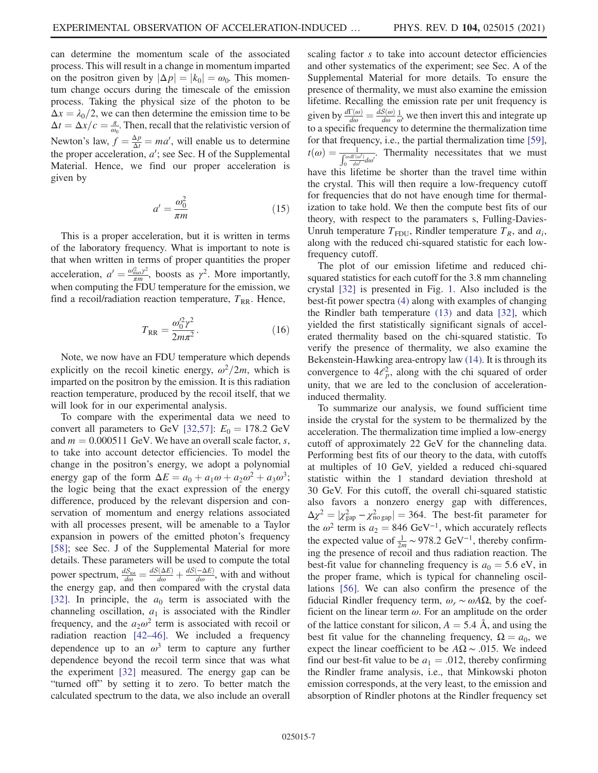can determine the momentum scale of the associated process. This will result in a change in momentum imparted on the positron given by  $|\Delta p| = |k_0| = \omega_0$ . This momentum change occurs during the timescale of the emission process. Taking the physical size of the photon to be  $\Delta x = \lambda_0/2$ , we can then determine the emission time to be  $\Delta t = \Delta x/c = \frac{\pi}{\omega_0}$ . Then, recall that the relativistic version of Newton's law,  $f = \frac{\Delta p}{\Delta t} = ma'$ , will enable us to determine the proper acceleration,  $a'$ ; see Sec. H of the Supplemental Material. Hence, we find our proper acceleration is given by

$$
a' = \frac{\omega_0^2}{\pi m} \tag{15}
$$

This is a proper acceleration, but it is written in terms of the laboratory frequency. What is important to note is that when written in terms of proper quantities the proper acceleration,  $a' = \frac{\omega_{\text{max}}^2 \gamma^2}{\pi m}$ , boosts as  $\gamma^2$ . More importantly, when computing the FDU temperature for the emission, we find a recoil/radiation reaction temperature,  $T_{RR}$ . Hence,

$$
T_{\rm RR} = \frac{\omega_0^2 \gamma^2}{2m\pi^2}.
$$
 (16)

Note, we now have an FDU temperature which depends explicitly on the recoil kinetic energy,  $\omega^2/2m$ , which is imparted on the positron by the emission. It is this radiation reaction temperature, produced by the recoil itself, that we will look for in our experimental analysis.

To compare with the experimental data we need to convert all parameters to GeV [\[32,57\]](#page-9-15):  $E_0 = 178.2$  GeV and  $m = 0.000511$  GeV. We have an overall scale factor, s, to take into account detector efficiencies. To model the change in the positron's energy, we adopt a polynomial energy gap of the form  $\Delta E = a_0 + a_1 \omega + a_2 \omega^2 + a_3 \omega^3$ ; the logic being that the exact expression of the energy difference, produced by the relevant dispersion and conservation of momentum and energy relations associated with all processes present, will be amenable to a Taylor expansion in powers of the emitted photon's frequency [\[58\]](#page-10-9); see Sec. J of the Supplemental Material for more details. These parameters will be used to compute the total power spectrum,  $\frac{dS_{\text{tot}}}{d\omega} = \frac{dS(\Delta E)}{d\omega} + \frac{dS(-\Delta E)}{d\omega}$ , with and without the energy gap, and then compared with the crystal data [\[32\]](#page-9-15). In principle, the  $a_0$  term is associated with the channeling oscillation,  $a_1$  is associated with the Rindler frequency, and the  $a_2\omega^2$  term is associated with recoil or radiation reaction [42–[46\].](#page-9-23) We included a frequency dependence up to an  $\omega^3$  term to capture any further dependence beyond the recoil term since that was what the experiment [\[32\]](#page-9-15) measured. The energy gap can be "turned off" by setting it to zero. To better match the calculated spectrum to the data, we also include an overall scaling factor s to take into account detector efficiencies and other systematics of the experiment; see Sec. A of the Supplemental Material for more details. To ensure the presence of thermality, we must also examine the emission lifetime. Recalling the emission rate per unit frequency is given by  $\frac{d\Gamma(\omega)}{d\omega} = \frac{dS(\omega)}{d\omega} \frac{1}{\omega}$ , we then invert this and integrate up to a specific frequency to determine the thermalization time for that frequency, i.e., the partial thermalization time [\[59\]](#page-10-10),  $t(\omega) = \frac{1}{\int_0^{\omega} \frac{d\Gamma(\omega')}{d\omega'} d\omega'}$ . Thermality necessitates that we must have this lifetime be shorter than the travel time within the crystal. This will then require a low-frequency cutoff for frequencies that do not have enough time for thermalization to take hold. We then the compute best fits of our theory, with respect to the paramaters s, Fulling-Davies-Unruh temperature  $T_{FDU}$ , Rindler temperature  $T_R$ , and  $a_i$ , along with the reduced chi-squared statistic for each lowfrequency cutoff.

The plot of our emission lifetime and reduced chisquared statistics for each cutoff for the 3.8 mm channeling crystal [\[32\]](#page-9-15) is presented in Fig. [1.](#page-7-0) Also included is the best-fit power spectra [\(4\)](#page-2-0) along with examples of changing the Rindler bath temperature [\(13\)](#page-4-1) and data [\[32\]](#page-9-15), which yielded the first statistically significant signals of accelerated thermality based on the chi-squared statistic. To verify the presence of thermality, we also examine the Bekenstein-Hawking area-entropy law [\(14\).](#page-5-0) It is through its convergence to  $4\ell_p^2$ , along with the chi squared of order unity, that we are led to the conclusion of accelerationinduced thermality.

To summarize our analysis, we found sufficient time inside the crystal for the system to be thermalized by the acceleration. The thermalization time implied a low-energy cutoff of approximately 22 GeV for the channeling data. Performing best fits of our theory to the data, with cutoffs at multiples of 10 GeV, yielded a reduced chi-squared statistic within the 1 standard deviation threshold at 30 GeV. For this cutoff, the overall chi-squared statistic also favors a nonzero energy gap with differences,  $\Delta \chi^2 = |\chi^2_{\text{gap}} - \chi^2_{\text{no gap}}| = 364$ . The best-fit parameter for the  $\omega^2$  term is  $a_2 = 846 \text{ GeV}^{-1}$ , which accurately reflects the expected value of  $\frac{1}{2m}$  ~ 978.2 GeV<sup>-1</sup>, thereby confirming the presence of recoil and thus radiation reaction. The best-fit value for channeling frequency is  $a_0 = 5.6$  eV, in the proper frame, which is typical for channeling oscillations [\[56\]](#page-10-11). We can also confirm the presence of the fiducial Rindler frequency term,  $\omega_r \sim \omega A \Omega$ , by the coefficient on the linear term  $\omega$ . For an amplitude on the order of the lattice constant for silicon,  $A = 5.4 \text{ Å}$ , and using the best fit value for the channeling frequency,  $\Omega = a_0$ , we expect the linear coefficient to be  $A\Omega \sim .015$ . We indeed find our best-fit value to be  $a_1 = .012$ , thereby confirming the Rindler frame analysis, i.e., that Minkowski photon emission corresponds, at the very least, to the emission and absorption of Rindler photons at the Rindler frequency set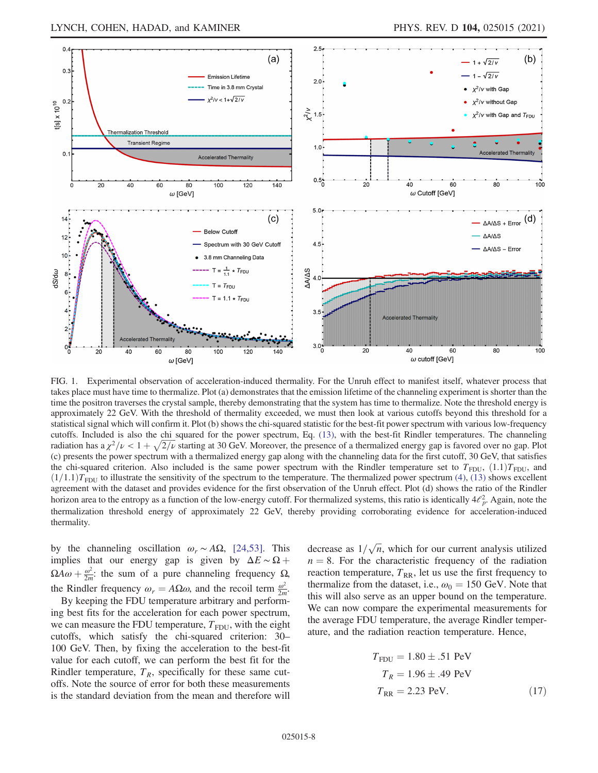<span id="page-7-0"></span>

FIG. 1. Experimental observation of acceleration-induced thermality. For the Unruh effect to manifest itself, whatever process that takes place must have time to thermalize. Plot (a) demonstrates that the emission lifetime of the channeling experiment is shorter than the time the positron traverses the crystal sample, thereby demonstrating that the system has time to thermalize. Note the threshold energy is approximately 22 GeV. With the threshold of thermality exceeded, we must then look at various cutoffs beyond this threshold for a statistical signal which will confirm it. Plot (b) shows the chi-squared statistic for the best-fit power spectrum with various low-frequency cutoffs. Included is also the chi squared for the power spectrum, Eq. [\(13\)](#page-4-1), with the best-fit Rindler temperatures. The channeling radiation has a  $\chi^2/\nu < 1 + \sqrt{2/\nu}$  starting at 30 GeV. Moreover, the presence of a thermalized energy gap is favored over no gap. Plot (c) presents the power spectrum with a thermalized energy gap along with the channeling data for the first cutoff, 30 GeV, that satisfies the chi-squared criterion. Also included is the same power spectrum with the Rindler temperature set to  $T_{FDU}$ ,  $(1.1)T_{FDU}$ , and  $(1/1.1)T<sub>FDU</sub>$  to illustrate the sensitivity of the spectrum to the temperature. The thermalized power spectrum [\(4\),](#page-2-0) [\(13\)](#page-4-1) shows excellent agreement with the dataset and provides evidence for the first observation of the Unruh effect. Plot (d) shows the ratio of the Rindler horizon area to the entropy as a function of the low-energy cutoff. For thermalized systems, this ratio is identically  $4l_p^2$ . Again, note the thermalization threshold energy of approximately 22 GeV, thereby providing corroborating evidence for acceleration-induced thermality.

by the channeling oscillation  $ω_r \sim AΩ$ , [\[24,53\].](#page-9-19) This implies that our energy gap is given by  $\Delta E \sim \Omega +$  $\Omega A \omega + \frac{\omega^2}{2m}$ : the sum of a pure channeling frequency  $\Omega$ , the Rindler frequency  $\omega_r = A\Omega\omega$ , and the recoil term  $\frac{\omega^2}{2m}$ .

By keeping the FDU temperature arbitrary and performing best fits for the acceleration for each power spectrum, we can measure the FDU temperature,  $T_{\text{FDU}}$ , with the eight cutoffs, which satisfy the chi-squared criterion: 30– 100 GeV. Then, by fixing the acceleration to the best-fit value for each cutoff, we can perform the best fit for the Rindler temperature,  $T_R$ , specifically for these same cutoffs. Note the source of error for both these measurements is the standard deviation from the mean and therefore will

decrease as  $1/\sqrt{n}$ , which for our current analysis utilized  $n = 8$ . For the characteristic frequency of the radiation reaction temperature,  $T_{RR}$ , let us use the first frequency to thermalize from the dataset, i.e.,  $\omega_0 = 150$  GeV. Note that this will also serve as an upper bound on the temperature. We can now compare the experimental measurements for the average FDU temperature, the average Rindler temperature, and the radiation reaction temperature. Hence,

$$
T_{\text{FDU}} = 1.80 \pm .51 \text{ PeV}
$$
  
\n
$$
T_R = 1.96 \pm .49 \text{ PeV}
$$
  
\n
$$
T_{\text{RR}} = 2.23 \text{ PeV}.
$$
 (17)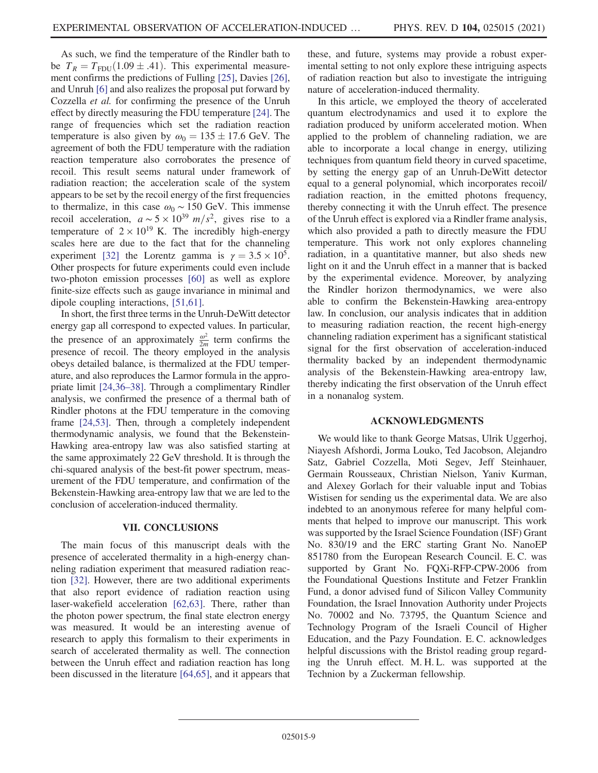As such, we find the temperature of the Rindler bath to be  $T_R = T_{\text{FDU}}(1.09 \pm .41)$ . This experimental measurement confirms the predictions of Fulling [\[25\]](#page-9-7), Davies [\[26\]](#page-9-8), and Unruh [\[6\]](#page-9-1) and also realizes the proposal put forward by Cozzella et al. for confirming the presence of the Unruh effect by directly measuring the FDU temperature [\[24\]](#page-9-19). The range of frequencies which set the radiation reaction temperature is also given by  $\omega_0 = 135 \pm 17.6$  GeV. The agreement of both the FDU temperature with the radiation reaction temperature also corroborates the presence of recoil. This result seems natural under framework of radiation reaction; the acceleration scale of the system appears to be set by the recoil energy of the first frequencies to thermalize, in this case  $\omega_0 \sim 150$  GeV. This immense recoil acceleration,  $a \sim 5 \times 10^{39}$  m/s<sup>2</sup>, gives rise to a temperature of  $2 \times 10^{19}$  K. The incredibly high-energy scales here are due to the fact that for the channeling experiment [\[32\]](#page-9-15) the Lorentz gamma is  $\gamma = 3.5 \times 10^5$ . Other prospects for future experiments could even include two-photon emission processes [\[60\]](#page-10-12) as well as explore finite-size effects such as gauge invariance in minimal and dipole coupling interactions, [\[51,61\].](#page-10-5)

In short, the first three terms in the Unruh-DeWitt detector energy gap all correspond to expected values. In particular, the presence of an approximately  $\frac{\omega^2}{2m}$  term confirms the presence of recoil. The theory employed in the analysis obeys detailed balance, is thermalized at the FDU temperature, and also reproduces the Larmor formula in the appropriate limit [\[24,36](#page-9-19)–38]. Through a complimentary Rindler analysis, we confirmed the presence of a thermal bath of Rindler photons at the FDU temperature in the comoving frame [\[24,53\]](#page-9-19). Then, through a completely independent thermodynamic analysis, we found that the Bekenstein-Hawking area-entropy law was also satisfied starting at the same approximately 22 GeV threshold. It is through the chi-squared analysis of the best-fit power spectrum, measurement of the FDU temperature, and confirmation of the Bekenstein-Hawking area-entropy law that we are led to the conclusion of acceleration-induced thermality.

#### VII. CONCLUSIONS

The main focus of this manuscript deals with the presence of accelerated thermality in a high-energy channeling radiation experiment that measured radiation reaction [\[32\]](#page-9-15). However, there are two additional experiments that also report evidence of radiation reaction using laser-wakefield acceleration [\[62,63\].](#page-10-13) There, rather than the photon power spectrum, the final state electron energy was measured. It would be an interesting avenue of research to apply this formalism to their experiments in search of accelerated thermality as well. The connection between the Unruh effect and radiation reaction has long been discussed in the literature [\[64,65\],](#page-10-14) and it appears that these, and future, systems may provide a robust experimental setting to not only explore these intriguing aspects of radiation reaction but also to investigate the intriguing nature of acceleration-induced thermality.

In this article, we employed the theory of accelerated quantum electrodynamics and used it to explore the radiation produced by uniform accelerated motion. When applied to the problem of channeling radiation, we are able to incorporate a local change in energy, utilizing techniques from quantum field theory in curved spacetime, by setting the energy gap of an Unruh-DeWitt detector equal to a general polynomial, which incorporates recoil/ radiation reaction, in the emitted photons frequency, thereby connecting it with the Unruh effect. The presence of the Unruh effect is explored via a Rindler frame analysis, which also provided a path to directly measure the FDU temperature. This work not only explores channeling radiation, in a quantitative manner, but also sheds new light on it and the Unruh effect in a manner that is backed by the experimental evidence. Moreover, by analyzing the Rindler horizon thermodynamics, we were also able to confirm the Bekenstein-Hawking area-entropy law. In conclusion, our analysis indicates that in addition to measuring radiation reaction, the recent high-energy channeling radiation experiment has a significant statistical signal for the first observation of acceleration-induced thermality backed by an independent thermodynamic analysis of the Bekenstein-Hawking area-entropy law, thereby indicating the first observation of the Unruh effect in a nonanalog system.

#### ACKNOWLEDGMENTS

We would like to thank George Matsas, Ulrik Uggerhoj, Niayesh Afshordi, Jorma Louko, Ted Jacobson, Alejandro Satz, Gabriel Cozzella, Moti Segev, Jeff Steinhauer, Germain Rousseaux, Christian Nielson, Yaniv Kurman, and Alexey Gorlach for their valuable input and Tobias Wistisen for sending us the experimental data. We are also indebted to an anonymous referee for many helpful comments that helped to improve our manuscript. This work was supported by the Israel Science Foundation (ISF) Grant No. 830/19 and the ERC starting Grant No. NanoEP 851780 from the European Research Council. E. C. was supported by Grant No. FQXi-RFP-CPW-2006 from the Foundational Questions Institute and Fetzer Franklin Fund, a donor advised fund of Silicon Valley Community Foundation, the Israel Innovation Authority under Projects No. 70002 and No. 73795, the Quantum Science and Technology Program of the Israeli Council of Higher Education, and the Pazy Foundation. E. C. acknowledges helpful discussions with the Bristol reading group regarding the Unruh effect. M. H. L. was supported at the Technion by a Zuckerman fellowship.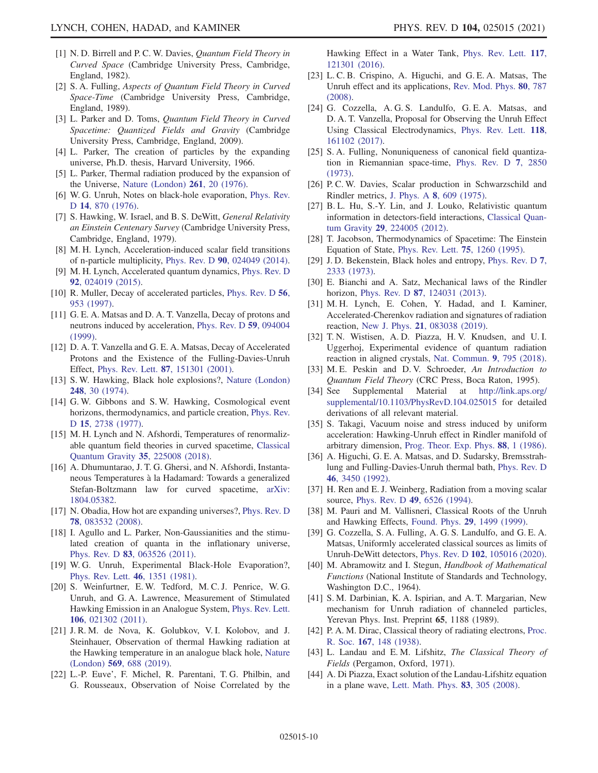- <span id="page-9-0"></span>[1] N. D. Birrell and P. C. W. Davies, Quantum Field Theory in Curved Space (Cambridge University Press, Cambridge, England, 1982).
- [2] S. A. Fulling, Aspects of Quantum Field Theory in Curved Space-Time (Cambridge University Press, Cambridge, England, 1989).
- [3] L. Parker and D. Toms, Quantum Field Theory in Curved Spacetime: Quantized Fields and Gravity (Cambridge University Press, Cambridge, England, 2009).
- [4] L. Parker, The creation of particles by the expanding universe, Ph.D. thesis, Harvard University, 1966.
- [5] L. Parker, Thermal radiation produced by the expansion of the Universe, [Nature \(London\)](https://doi.org/10.1038/261020a0) 261, 20 (1976).
- <span id="page-9-1"></span>[6] W. G. Unruh, Notes on black-hole evaporation, [Phys. Rev.](https://doi.org/10.1103/PhysRevD.14.870) D 14[, 870 \(1976\).](https://doi.org/10.1103/PhysRevD.14.870)
- <span id="page-9-2"></span>[7] S. Hawking, W. Israel, and B. S. DeWitt, *General Relativity* an Einstein Centenary Survey (Cambridge University Press, Cambridge, England, 1979).
- <span id="page-9-14"></span>[8] M. H. Lynch, Acceleration-induced scalar field transitions of n-particle multiplicity, Phys. Rev. D 90[, 024049 \(2014\).](https://doi.org/10.1103/PhysRevD.90.024049)
- <span id="page-9-18"></span>[9] M. H. Lynch, Accelerated quantum dynamics, [Phys. Rev. D](https://doi.org/10.1103/PhysRevD.92.024019) 92[, 024019 \(2015\).](https://doi.org/10.1103/PhysRevD.92.024019)
- [10] R. Muller, Decay of accelerated particles, [Phys. Rev. D](https://doi.org/10.1103/PhysRevD.56.953) 56, [953 \(1997\)](https://doi.org/10.1103/PhysRevD.56.953).
- [11] G. E. A. Matsas and D. A. T. Vanzella, Decay of protons and neutrons induced by acceleration, [Phys. Rev. D](https://doi.org/10.1103/PhysRevD.59.094004) 59, 094004 [\(1999\).](https://doi.org/10.1103/PhysRevD.59.094004)
- <span id="page-9-27"></span>[12] D. A. T. Vanzella and G. E. A. Matsas, Decay of Accelerated Protons and the Existence of the Fulling-Davies-Unruh Effect, Phys. Rev. Lett. 87[, 151301 \(2001\)](https://doi.org/10.1103/PhysRevLett.87.151301).
- <span id="page-9-12"></span>[13] S. W. Hawking, Black hole explosions?, [Nature \(London\)](https://doi.org/10.1038/248030a0) 248[, 30 \(1974\).](https://doi.org/10.1038/248030a0)
- [14] G. W. Gibbons and S. W. Hawking, Cosmological event horizons, thermodynamics, and particle creation, [Phys. Rev.](https://doi.org/10.1103/PhysRevD.15.2738) D 15[, 2738 \(1977\).](https://doi.org/10.1103/PhysRevD.15.2738)
- [15] M. H. Lynch and N. Afshordi, Temperatures of renormalizable quantum field theories in curved spacetime, [Classical](https://doi.org/10.1088/1361-6382/aae792) [Quantum Gravity](https://doi.org/10.1088/1361-6382/aae792) 35, 225008 (2018).
- [16] A. Dhumuntarao, J. T. G. Ghersi, and N. Afshordi, Instantaneous Temperatures à la Hadamard: Towards a generalized Stefan-Boltzmann law for curved spacetime, [arXiv:](https://arXiv.org/abs/1804.05382) [1804.05382.](https://arXiv.org/abs/1804.05382)
- <span id="page-9-4"></span><span id="page-9-3"></span>[17] N. Obadia, How hot are expanding universes?, [Phys. Rev. D](https://doi.org/10.1103/PhysRevD.78.083532) 78[, 083532 \(2008\).](https://doi.org/10.1103/PhysRevD.78.083532)
- [18] I. Agullo and L. Parker, Non-Gaussianities and the stimulated creation of quanta in the inflationary universe, Phys. Rev. D 83[, 063526 \(2011\)](https://doi.org/10.1103/PhysRevD.83.063526).
- <span id="page-9-5"></span>[19] W. G. Unruh, Experimental Black-Hole Evaporation?, [Phys. Rev. Lett.](https://doi.org/10.1103/PhysRevLett.46.1351) 46, 1351 (1981).
- [20] S. Weinfurtner, E.W. Tedford, M.C.J. Penrice, W.G. Unruh, and G. A. Lawrence, Measurement of Stimulated Hawking Emission in an Analogue System, [Phys. Rev. Lett.](https://doi.org/10.1103/PhysRevLett.106.021302) 106[, 021302 \(2011\).](https://doi.org/10.1103/PhysRevLett.106.021302)
- [21] J. R. M. de Nova, K. Golubkov, V. I. Kolobov, and J. Steinhauer, Observation of thermal Hawking radiation at the Hawking temperature in an analogue black hole, [Nature](https://doi.org/10.1038/s41586-019-1241-0) (London) 569[, 688 \(2019\)](https://doi.org/10.1038/s41586-019-1241-0).
- [22] L.-P. Euve', F. Michel, R. Parentani, T. G. Philbin, and G. Rousseaux, Observation of Noise Correlated by the

Hawking Effect in a Water Tank, [Phys. Rev. Lett.](https://doi.org/10.1103/PhysRevLett.117.121301) 117, [121301 \(2016\).](https://doi.org/10.1103/PhysRevLett.117.121301)

- <span id="page-9-6"></span>[23] L. C. B. Crispino, A. Higuchi, and G. E. A. Matsas, The Unruh effect and its applications, [Rev. Mod. Phys.](https://doi.org/10.1103/RevModPhys.80.787) 80, 787 [\(2008\).](https://doi.org/10.1103/RevModPhys.80.787)
- <span id="page-9-19"></span>[24] G. Cozzella, A. G. S. Landulfo, G. E. A. Matsas, and D. A. T. Vanzella, Proposal for Observing the Unruh Effect Using Classical Electrodynamics, [Phys. Rev. Lett.](https://doi.org/10.1103/PhysRevLett.118.161102) 118, [161102 \(2017\).](https://doi.org/10.1103/PhysRevLett.118.161102)
- <span id="page-9-7"></span>[25] S. A. Fulling, Nonuniqueness of canonical field quantization in Riemannian space-time, [Phys. Rev. D](https://doi.org/10.1103/PhysRevD.7.2850) 7, 2850 [\(1973\).](https://doi.org/10.1103/PhysRevD.7.2850)
- <span id="page-9-8"></span>[26] P. C. W. Davies, Scalar production in Schwarzschild and Rindler metrics, J. Phys. A 8[, 609 \(1975\)](https://doi.org/10.1088/0305-4470/8/4/022).
- <span id="page-9-9"></span>[27] B.L. Hu, S.-Y. Lin, and J. Louko, Relativistic quantum information in detectors-field interactions, [Classical Quan](https://doi.org/10.1088/0264-9381/29/22/224005)tum Gravity 29[, 224005 \(2012\).](https://doi.org/10.1088/0264-9381/29/22/224005)
- <span id="page-9-10"></span>[28] T. Jacobson, Thermodynamics of Spacetime: The Einstein Equation of State, [Phys. Rev. Lett.](https://doi.org/10.1103/PhysRevLett.75.1260) 75, 1260 (1995).
- <span id="page-9-11"></span>[29] J.D. Bekenstein, Black holes and entropy, [Phys. Rev. D](https://doi.org/10.1103/PhysRevD.7.2333) 7, [2333 \(1973\)](https://doi.org/10.1103/PhysRevD.7.2333).
- <span id="page-9-13"></span>[30] E. Bianchi and A. Satz, Mechanical laws of the Rindler horizon, Phys. Rev. D **87**[, 124031 \(2013\).](https://doi.org/10.1103/PhysRevD.87.124031)
- <span id="page-9-24"></span>[31] M. H. Lynch, E. Cohen, Y. Hadad, and I. Kaminer, Accelerated-Cherenkov radiation and signatures of radiation reaction, New J. Phys. 21[, 083038 \(2019\)](https://doi.org/10.1088/1367-2630/ab387d).
- <span id="page-9-15"></span>[32] T. N. Wistisen, A. D. Piazza, H. V. Knudsen, and U. I. Uggerhoj, Experimental evidence of quantum radiation reaction in aligned crystals, [Nat. Commun.](https://doi.org/10.1038/s41467-018-03165-4) 9, 795 (2018).
- <span id="page-9-16"></span>[33] M. E. Peskin and D. V. Schroeder, An Introduction to Quantum Field Theory (CRC Press, Boca Raton, 1995).
- <span id="page-9-17"></span>[34] See Supplemental Material at [http://link.aps.org/](http://link.aps.org/supplemental/10.1103/PhysRevD.104.025015) [supplemental/10.1103/PhysRevD.104.025015](http://link.aps.org/supplemental/10.1103/PhysRevD.104.025015) for detailed derivations of all relevant material.
- [35] S. Takagi, Vacuum noise and stress induced by uniform acceleration: Hawking-Unruh effect in Rindler manifold of arbitrary dimension, [Prog. Theor. Exp. Phys.](https://doi.org/10.1143/PTP.88.1) 88, 1 (1986).
- [36] A. Higuchi, G. E. A. Matsas, and D. Sudarsky, Bremsstrahlung and Fulling-Davies-Unruh thermal bath, [Phys. Rev. D](https://doi.org/10.1103/PhysRevD.46.3450) 46[, 3450 \(1992\)](https://doi.org/10.1103/PhysRevD.46.3450).
- [37] H. Ren and E. J. Weinberg, Radiation from a moving scalar source, Phys. Rev. D **49**[, 6526 \(1994\)](https://doi.org/10.1103/PhysRevD.49.6526).
- [38] M. Pauri and M. Vallisneri, Classical Roots of the Unruh and Hawking Effects, Found. Phys. 29[, 1499 \(1999\)](https://doi.org/10.1023/A:1018821619763).
- <span id="page-9-20"></span>[39] G. Cozzella, S. A. Fulling, A. G. S. Landulfo, and G. E. A. Matsas, Uniformly accelerated classical sources as limits of Unruh-DeWitt detectors, Phys. Rev. D 102[, 105016 \(2020\).](https://doi.org/10.1103/PhysRevD.102.105016)
- <span id="page-9-21"></span>[40] M. Abramowitz and I. Stegun, Handbook of Mathematical Functions (National Institute of Standards and Technology, Washington D.C., 1964).
- <span id="page-9-22"></span>[41] S. M. Darbinian, K. A. Ispirian, and A. T. Margarian, New mechanism for Unruh radiation of channeled particles, Yerevan Phys. Inst. Preprint 65, 1188 (1989).
- <span id="page-9-25"></span><span id="page-9-23"></span>[42] P. A. M. Dirac, Classical theory of radiating electrons, [Proc.](https://doi.org/10.1098/rspa.1938.0124) R. Soc. 167[, 148 \(1938\)](https://doi.org/10.1098/rspa.1938.0124).
- <span id="page-9-26"></span>[43] L. Landau and E. M. Lifshitz, *The Classical Theory of* Fields (Pergamon, Oxford, 1971).
- [44] A. Di Piazza, Exact solution of the Landau-Lifshitz equation in a plane wave, [Lett. Math. Phys.](https://doi.org/10.1007/s11005-008-0228-9) 83, 305 (2008).